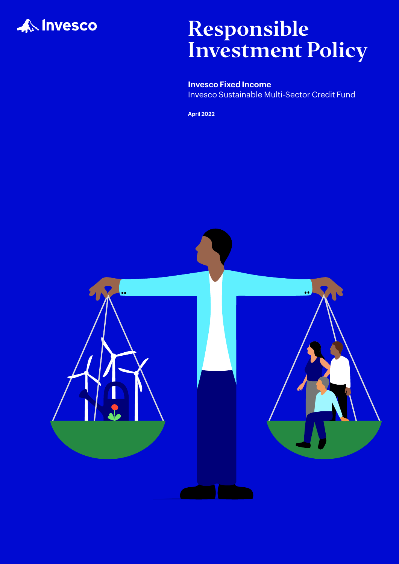

# Responsible Investment Policy

**Invesco Fixed Income** Invesco Sustainable Multi-Sector Credit Fund

**April 2022**

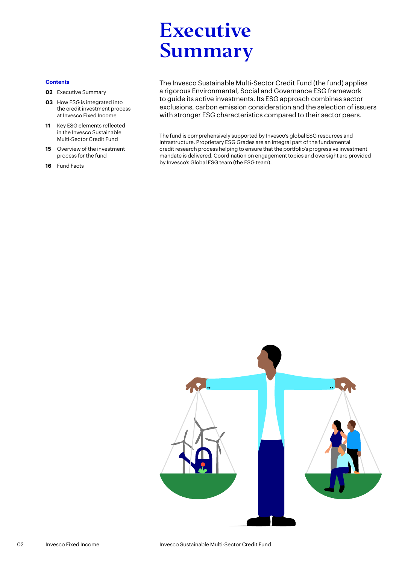## <span id="page-1-0"></span>Executive Summary

The Invesco Sustainable Multi-Sector Credit Fund (the fund) applies a rigorous Environmental, Social and Governance ESG framework to guide its active investments. Its ESG approach combines sector exclusions, carbon emission consideration and the selection of issuers with stronger ESG characteristics compared to their sector peers.

The fund is comprehensively supported by Invesco's global ESG resources and infrastructure. Proprietary ESG Grades are an integral part of the fundamental credit research process helping to ensure that the portfolio's progressive investment mandate is delivered. Coordination on engagement topics and oversight are provided by Invesco's Global ESG team (the ESG team).

### **Contents**

- **[02](#page-1-0)** Executive Summary
- **03** [How ESG is integrated into](#page-2-0)  [the credit investment process](#page-2-0)  [at Invesco Fixed Income](#page-2-0)
- **11** [Key ESG elements reflected](#page-10-0)  [in the Invesco Sustainable](#page-10-0)  [Multi-Sector Credit Fund](#page-10-0)
- **15** [Overview of the investment](#page-14-0)  [process for the fund](#page-14-0)
- **16** [Fund Facts](#page-15-0)

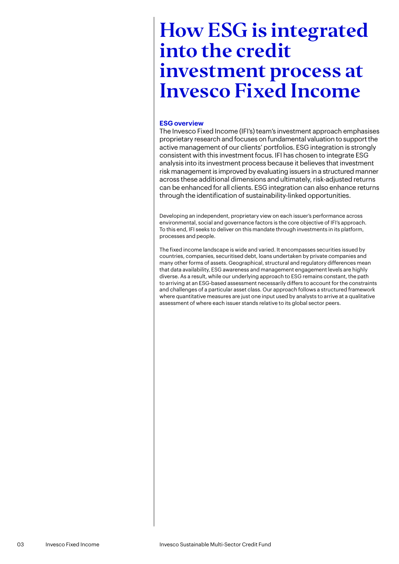### <span id="page-2-0"></span>**ESG overview**

The Invesco Fixed Income (IFI's) team's investment approach emphasises proprietary research and focuses on fundamental valuation to support the active management of our clients' portfolios. ESG integration is strongly consistent with this investment focus. IFI has chosen to integrate ESG analysis into its investment process because it believes that investment risk management is improved by evaluating issuers in a structured manner across these additional dimensions and ultimately, risk-adjusted returns can be enhanced for all clients. ESG integration can also enhance returns through the identification of sustainability-linked opportunities.

Developing an independent, proprietary view on each issuer's performance across environmental, social and governance factors is the core objective of IFI's approach. To this end, IFI seeks to deliver on this mandate through investments in its platform, processes and people.

The fixed income landscape is wide and varied. It encompasses securities issued by countries, companies, securitised debt, loans undertaken by private companies and many other forms of assets. Geographical, structural and regulatory differences mean that data availability, ESG awareness and management engagement levels are highly diverse. As a result, while our underlying approach to ESG remains constant, the path to arriving at an ESG-based assessment necessarily differs to account for the constraints and challenges of a particular asset class. Our approach follows a structured framework where quantitative measures are just one input used by analysts to arrive at a qualitative assessment of where each issuer stands relative to its global sector peers.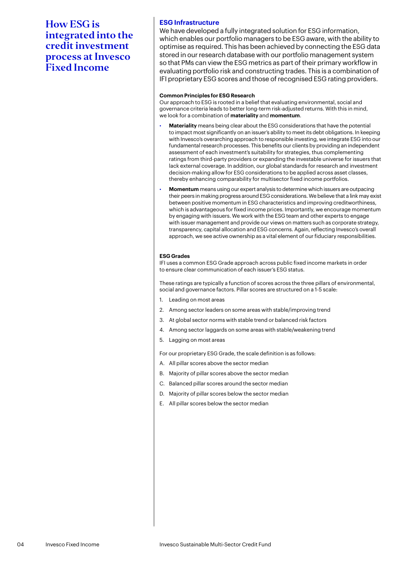### **ESG Infrastructure**

We have developed a fully integrated solution for ESG information, which enables our portfolio managers to be ESG aware, with the ability to optimise as required. This has been achieved by connecting the ESG data stored in our research database with our portfolio management system so that PMs can view the ESG metrics as part of their primary workflow in evaluating portfolio risk and constructing trades. This is a combination of IFI proprietary ESG scores and those of recognised ESG rating providers.

### **Common Principles for ESG Research**

Our approach to ESG is rooted in a belief that evaluating environmental, social and governance criteria leads to better long-term risk-adjusted returns. With this in mind, we look for a combination of **materiality** and **momentum**.

- **Materiality** means being clear about the ESG considerations that have the potential to impact most significantly on an issuer's ability to meet its debt obligations. In keeping with Invesco's overarching approach to responsible investing, we integrate ESG into our fundamental research processes. This benefits our clients by providing an independent assessment of each investment's suitability for strategies, thus complementing ratings from third-party providers or expanding the investable universe for issuers that lack external coverage. In addition, our global standards for research and investment decision-making allow for ESG considerations to be applied across asset classes, thereby enhancing comparability for multisector fixed income portfolios.
- **Momentum** means using our expert analysis to determine which issuers are outpacing their peers in making progress around ESG considerations. We believe that a link may exist between positive momentum in ESG characteristics and improving creditworthiness, which is advantageous for fixed income prices. Importantly, we encourage momentum by engaging with issuers. We work with the ESG team and other experts to engage with issuer management and provide our views on matters such as corporate strategy, transparency, capital allocation and ESG concerns. Again, reflecting Invesco's overall approach, we see active ownership as a vital element of our fiduciary responsibilities.

### **ESG Grades**

IFI uses a common ESG Grade approach across public fixed income markets in order to ensure clear communication of each issuer's ESG status.

These ratings are typically a function of scores across the three pillars of environmental, social and governance factors. Pillar scores are structured on a 1-5 scale:

- 1. Leading on most areas
- 2. Among sector leaders on some areas with stable/improving trend
- 3. At global sector norms with stable trend or balanced risk factors
- 4. Among sector laggards on some areas with stable/weakening trend
- 5. Lagging on most areas

For our proprietary ESG Grade, the scale definition is as follows:

- A. All pillar scores above the sector median
- B. Majority of pillar scores above the sector median
- C. Balanced pillar scores around the sector median
- D. Majority of pillar scores below the sector median
- E. All pillar scores below the sector median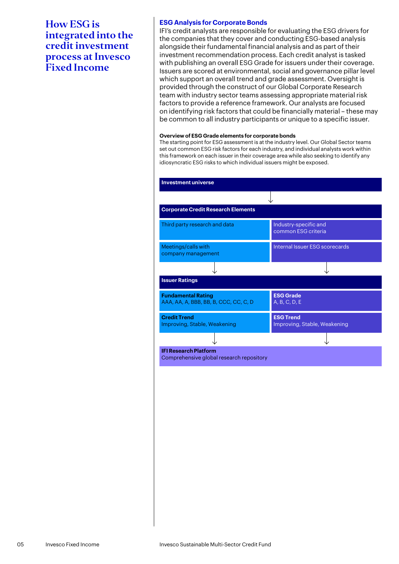### **ESG Analysis for Corporate Bonds**

IFI's credit analysts are responsible for evaluating the ESG drivers for the companies that they cover and conducting ESG-based analysis alongside their fundamental financial analysis and as part of their investment recommendation process. Each credit analyst is tasked with publishing an overall ESG Grade for issuers under their coverage. Issuers are scored at environmental, social and governance pillar level which support an overall trend and grade assessment. Oversight is provided through the construct of our Global Corporate Research team with industry sector teams assessing appropriate material risk factors to provide a reference framework. Our analysts are focused on identifying risk factors that could be financially material – these may be common to all industry participants or unique to a specific issuer.

### **Overview of ESG Grade elements for corporate bonds**

The starting point for ESG assessment is at the industry level. Our Global Sector teams set out common ESG risk factors for each industry, and individual analysts work within this framework on each issuer in their coverage area while also seeking to identify any idiosyncratic ESG risks to which individual issuers might be exposed.

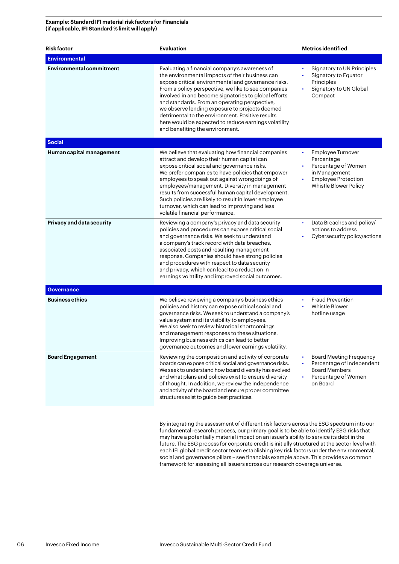### **Example: Standard IFI material risk factors for Financials (if applicable, IFI Standard % limit will apply)**

| <b>Risk factor</b>               | <b>Evaluation</b>                                                                                                                                                                                                                                                                                                                                                                                                                                                                                                                                                                                                                                   | <b>Metrics identified</b>                                                                                                                   |
|----------------------------------|-----------------------------------------------------------------------------------------------------------------------------------------------------------------------------------------------------------------------------------------------------------------------------------------------------------------------------------------------------------------------------------------------------------------------------------------------------------------------------------------------------------------------------------------------------------------------------------------------------------------------------------------------------|---------------------------------------------------------------------------------------------------------------------------------------------|
| <b>Environmental</b>             |                                                                                                                                                                                                                                                                                                                                                                                                                                                                                                                                                                                                                                                     |                                                                                                                                             |
| <b>Environmental commitment</b>  | Evaluating a financial company's awareness of<br>the environmental impacts of their business can<br>expose critical environmental and governance risks.<br>From a policy perspective, we like to see companies<br>involved in and become signatories to global efforts<br>and standards. From an operating perspective,<br>we observe lending exposure to projects deemed<br>detrimental to the environment. Positive results<br>here would be expected to reduce earnings volatility<br>and benefiting the environment.                                                                                                                            | Signatory to UN Principles<br>$\bullet$<br>Signatory to Equator<br>Principles<br>Signatory to UN Global<br>Compact                          |
| <b>Social</b>                    |                                                                                                                                                                                                                                                                                                                                                                                                                                                                                                                                                                                                                                                     |                                                                                                                                             |
| Human capital management         | We believe that evaluating how financial companies<br>attract and develop their human capital can<br>expose critical social and governance risks.<br>We prefer companies to have policies that empower<br>employees to speak out against wrongdoings of<br>employees/management. Diversity in management<br>results from successful human capital development.<br>Such policies are likely to result in lower employee<br>turnover, which can lead to improving and less<br>volatile financial performance.                                                                                                                                         | Employee Turnover<br>$\bullet$<br>Percentage<br>Percentage of Women<br>in Management<br><b>Employee Protection</b><br>Whistle Blower Policy |
| <b>Privacy and data security</b> | Reviewing a company's privacy and data security<br>policies and procedures can expose critical social<br>and governance risks. We seek to understand<br>a company's track record with data breaches,<br>associated costs and resulting management<br>response. Companies should have strong policies<br>and procedures with respect to data security<br>and privacy, which can lead to a reduction in<br>earnings volatility and improved social outcomes.                                                                                                                                                                                          | Data Breaches and policy/<br>actions to address<br>Cybersecurity policy/actions                                                             |
| <b>Governance</b>                |                                                                                                                                                                                                                                                                                                                                                                                                                                                                                                                                                                                                                                                     |                                                                                                                                             |
| <b>Business ethics</b>           | We believe reviewing a company's business ethics<br>policies and history can expose critical social and<br>governance risks. We seek to understand a company's<br>value system and its visibility to employees.<br>We also seek to review historical shortcomings<br>and management responses to these situations.<br>Improving business ethics can lead to better<br>governance outcomes and lower earnings volatility.                                                                                                                                                                                                                            | <b>Fraud Prevention</b><br>Whistle Blower<br>hotline usage                                                                                  |
| <b>Board Engagement</b>          | Reviewing the composition and activity of corporate<br>boards can expose critical social and governance risks.<br>We seek to understand how board diversity has evolved<br>and what plans and policies exist to ensure diversity<br>of thought. In addition, we review the independence<br>and activity of the board and ensure proper committee<br>structures exist to guide best practices.                                                                                                                                                                                                                                                       | <b>Board Meeting Frequency</b><br>Percentage of Independent<br><b>Board Members</b><br>Percentage of Women<br>on Board                      |
|                                  | By integrating the assessment of different risk factors across the ESG spectrum into our<br>fundamental research process, our primary goal is to be able to identify ESG risks that<br>may have a potentially material impact on an issuer's ability to service its debt in the<br>future. The ESG process for corporate credit is initially structured at the sector level with<br>each IFI global credit sector team establishing key risk factors under the environmental,<br>social and governance pillars - see financials example above. This provides a common<br>framework for assessing all issuers across our research coverage universe. |                                                                                                                                             |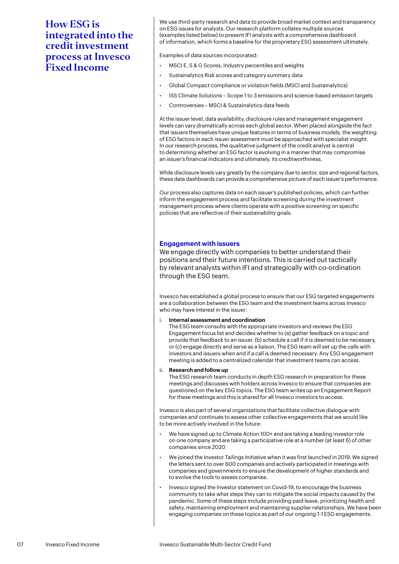We use third-party research and data to provide broad market context and transparency on ESG issues for analysts. Our research platform collates multiple sources (examples listed below) to present IFI analysts with a comprehensive dashboard of information, which forms a baseline for the proprietary ESG assessment ultimately.

Examples of data sources incorporated:

- MSCI E, S & G Scores, Industry percentiles and weights
- Sustainalytics Risk scores and category summary data
- Global Compact compliance or violation fields (MSCI and Sustainalytics)
- ISS Climate Solutions Scope 1 to 3 emissions and science-based emission targets
- Controversies MSCI & Sustainalytics data feeds

At the issuer level, data availability, disclosure rules and management engagement levels can vary dramatically across each global sector. When placed alongside the fact that issuers themselves have unique features in terms of business models, the weighting of ESG factors in each issuer assessment must be approached with specialist insight. In our research process, the qualitative judgment of the credit analyst is central to determining whether an ESG factor is evolving in a manner that may compromise an issuer's financial indicators and ultimately, its creditworthiness.

While disclosure levels vary greatly by the company due to sector, size and regional factors, these data dashboards can provide a comprehensive picture of each issuer's performance.

Our process also captures data on each issuer's published policies, which can further inform the engagement process and facilitate screening during the investment management process where clients operate with a positive screening on specific policies that are reflective of their sustainability goals.

### **Engagement with issuers**

We engage directly with companies to better understand their positions and their future intentions. This is carried out tactically by relevant analysts within IFI and strategically with co-ordination through the ESG team.

Invesco has established a global process to ensure that our ESG targeted engagements are a collaboration between the ESG team and the investment teams across Invesco who may have interest in the issuer:

i. **Internal assessment and coordination**

The ESG team consults with the appropriate investors and reviews the ESG Engagement focus list and decides whether to (a) gather feedback on a topic and provide that feedback to an issuer, (b) schedule a call if it is deemed to be necessary, or (c) engage directly and serve as a liaison. The ESG team will set up the calls with investors and issuers when and if a call is deemed necessary. Any ESG engagement meeting is added to a centralized calendar that investment teams can access.

### ii. **Research and follow up**

The ESG research team conducts in depth ESG research in preparation for these meetings and discusses with holders across Invesco to ensure that companies are questioned on the key ESG topics. The ESG team writes up an Engagement Report for these meetings and this is shared for all Invesco investors to access.

Invesco is also part of several organisations that facilitate collective dialogue with companies and continues to assess other collective engagements that we would like to be more actively involved in the future:

- We have signed up to Climate Action 100+ and are taking a leading investor role on one company and are taking a participative role at a number (at least 6) of other companies since 2020
- We joined the Investor Tailings Initiative when it was first launched in 2019. We signed the letters sent to over 600 companies and actively participated in meetings with companies and governments to ensure the development of higher standards and to evolve the tools to assess companies.
- Invesco signed the Investor statement on Covid-19, to encourage the business community to take what steps they can to mitigate the social impacts caused by the pandemic. Some of these steps include providing paid leave, prioritizing health and safety, maintaining employment and maintaining supplier relationships. We have been engaging companies on these topics as part of our ongoing 1-1 ESG engagements.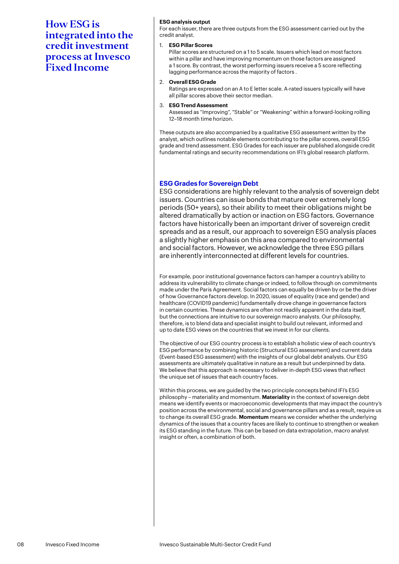### **ESG analysis output**

For each issuer, there are three outputs from the ESG assessment carried out by the credit analyst.

### 1. **ESG Pillar Scores**

Pillar scores are structured on a 1 to 5 scale. Issuers which lead on most factors within a pillar and have improving momentum on those factors are assigned a 1 score. By contrast, the worst performing issuers receive a 5 score reflecting lagging performance across the majority of factors .

### 2. **Overall ESG Grade**

Ratings are expressed on an A to E letter scale. A-rated issuers typically will have all pillar scores above their sector median.

### 3. **ESG Trend Assessment**

Assessed as "Improving", "Stable" or "Weakening" within a forward-looking rolling 12–18 month time horizon.

These outputs are also accompanied by a qualitative ESG assessment written by the analyst, which outlines notable elements contributing to the pillar scores, overall ESG grade and trend assessment. ESG Grades for each issuer are published alongside credit fundamental ratings and security recommendations on IFI's global research platform.

### **ESG Grades for Sovereign Debt**

ESG considerations are highly relevant to the analysis of sovereign debt issuers. Countries can issue bonds that mature over extremely long periods (50+ years), so their ability to meet their obligations might be altered dramatically by action or inaction on ESG factors. Governance factors have historically been an important driver of sovereign credit spreads and as a result, our approach to sovereign ESG analysis places a slightly higher emphasis on this area compared to environmental and social factors. However, we acknowledge the three ESG pillars are inherently interconnected at different levels for countries.

For example, poor institutional governance factors can hamper a country's ability to address its vulnerability to climate change or indeed, to follow through on commitments made under the Paris Agreement. Social factors can equally be driven by or be the driver of how Governance factors develop. In 2020, issues of equality (race and gender) and healthcare (COVID19 pandemic) fundamentally drove change in governance factors in certain countries. These dynamics are often not readily apparent in the data itself, but the connections are intuitive to our sovereign macro analysts. Our philosophy, therefore, is to blend data and specialist insight to build out relevant, informed and up to date ESG views on the countries that we invest in for our clients.

The objective of our ESG country process is to establish a holistic view of each country's ESG performance by combining historic (Structural ESG assessment) and current data (Event-based ESG assessment) with the insights of our global debt analysts. Our ESG assessments are ultimately qualitative in nature as a result but underpinned by data. We believe that this approach is necessary to deliver in-depth ESG views that reflect the unique set of issues that each country faces.

Within this process, we are guided by the two principle concepts behind IFI's ESG philosophy – materiality and momentum. **Materiality** in the context of sovereign debt means we identify events or macroeconomic developments that may impact the country's position across the environmental, social and governance pillars and as a result, require us to change its overall ESG grade. **Momentum** means we consider whether the underlying dynamics of the issues that a country faces are likely to continue to strengthen or weaken its ESG standing in the future. This can be based on data extrapolation, macro analyst insight or often, a combination of both.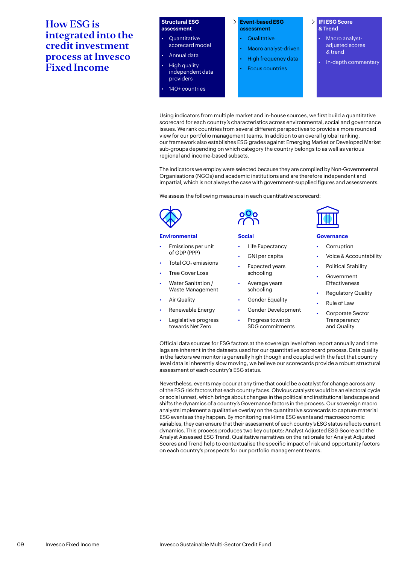#### **Structural ESG assessment** • Quantitative scorecard model • Annual data • High quality independent data providers **Event-based ESG assessment Qualitative** Macro analyst-driven • High frequency data **Focus countries IFI ESG Score & Trend** • Macro analystadjusted scores & trend • In-depth commentary

Using indicators from multiple market and in-house sources, we first build a quantitative scorecard for each country's characteristics across environmental, social and governance issues. We rank countries from several different perspectives to provide a more rounded view for our portfolio management teams. In addition to an overall global ranking, our framework also establishes ESG grades against Emerging Market or Developed Market sub-groups depending on which category the country belongs to as well as various regional and income-based subsets.

The indicators we employ were selected because they are compiled by Non-Governmental Organisations (NGOs) and academic institutions and are therefore independent and impartial, which is not always the case with government-supplied figures and assessments.

We assess the following measures in each quantitative scorecard:



#### **Environmental**

• Emissions per unit of GDP (PPP)

• 140+ countries

- Total  $CO<sub>2</sub>$  emissions
- Tree Cover Loss
- Water Sanitation / Waste Management
- **Air Quality**
- Renewable Energy
- Legislative progress towards Net Zero



#### **Social**

- Life Expectancy
- GNI per capita
- Expected years schooling
- Average years schooling
- Gender Equality
- Gender Development
- Progress towards SDG commitments



### **Governance**

- **Corruption**
- Voice & Accountability
- Political Stability
- Government Effectiveness
- Regulatory Quality
- **Rule of Law** 
	- Corporate Sector **Transparency** and Quality

Official data sources for ESG factors at the sovereign level often report annually and time lags are inherent in the datasets used for our quantitative scorecard process. Data quality in the factors we monitor is generally high though and coupled with the fact that country level data is inherently slow moving, we believe our scorecards provide a robust structural assessment of each country's ESG status.

Nevertheless, events may occur at any time that could be a catalyst for change across any of the ESG risk factors that each country faces. Obvious catalysts would be an electoral cycle or social unrest, which brings about changes in the political and institutional landscape and shifts the dynamics of a country's Governance factors in the process. Our sovereign macro analysts implement a qualitative overlay on the quantitative scorecards to capture material ESG events as they happen. By monitoring real-time ESG events and macroeconomic variables, they can ensure that their assessment of each country's ESG status reflects current dynamics. This process produces two key outputs; Analyst Adjusted ESG Score and the Analyst Assessed ESG Trend. Qualitative narratives on the rationale for Analyst Adjusted Scores and Trend help to contextualise the specific impact of risk and opportunity factors on each country's prospects for our portfolio management teams.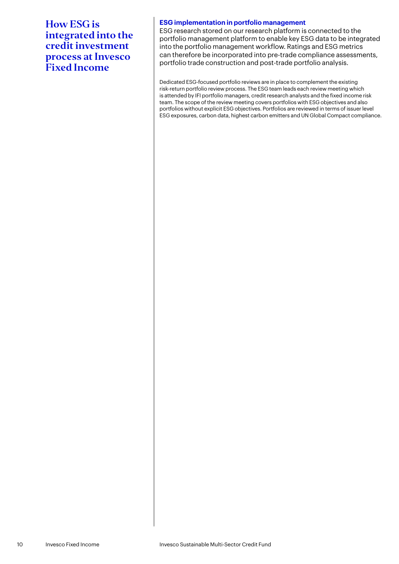### **ESG implementation in portfolio management**

ESG research stored on our research platform is connected to the portfolio management platform to enable key ESG data to be integrated into the portfolio management workflow. Ratings and ESG metrics can therefore be incorporated into pre-trade compliance assessments, portfolio trade construction and post-trade portfolio analysis.

Dedicated ESG-focused portfolio reviews are in place to complement the existing risk-return portfolio review process. The ESG team leads each review meeting which is attended by IFI portfolio managers, credit research analysts and the fixed income risk team. The scope of the review meeting covers portfolios with ESG objectives and also portfolios without explicit ESG objectives. Portfolios are reviewed in terms of issuer level ESG exposures, carbon data, highest carbon emitters and UN Global Compact compliance.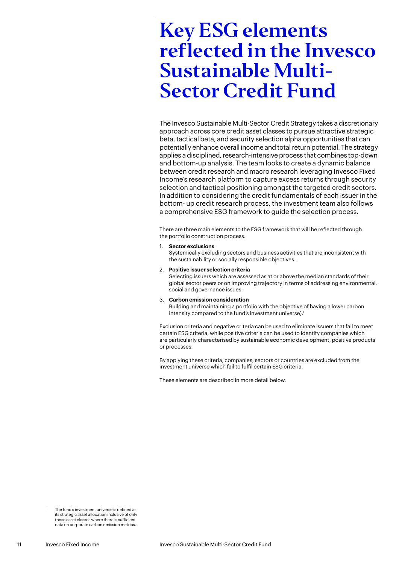### <span id="page-10-0"></span>Key ESG elements reflected in the Invesco Sustainable Multi-Sector Credit Fund

The Invesco Sustainable Multi-Sector Credit Strategy takes a discretionary approach across core credit asset classes to pursue attractive strategic beta, tactical beta, and security selection alpha opportunities that can potentially enhance overall income and total return potential. The strategy applies a disciplined, research-intensive process that combines top-down and bottom-up analysis. The team looks to create a dynamic balance between credit research and macro research leveraging Invesco Fixed Income's research platform to capture excess returns through security selection and tactical positioning amongst the targeted credit sectors. In addition to considering the credit fundamentals of each issuer in the bottom- up credit research process, the investment team also follows a comprehensive ESG framework to guide the selection process.

There are three main elements to the ESG framework that will be reflected through the portfolio construction process.

1. **Sector exclusions**

Systemically excluding sectors and business activities that are inconsistent with the sustainability or socially responsible objectives.

2. **Positive issuer selection criteria**

Selecting issuers which are assessed as at or above the median standards of their global sector peers or on improving trajectory in terms of addressing environmental, social and governance issues.

3. **Carbon emission consideration**

Building and maintaining a portfolio with the objective of having a lower carbon intensity compared to the fund's investment universe).<sup>1</sup>

Exclusion criteria and negative criteria can be used to eliminate issuers that fail to meet certain ESG criteria, while positive criteria can be used to identify companies which are particularly characterised by sustainable economic development, positive products or processes.

By applying these criteria, companies, sectors or countries are excluded from the investment universe which fail to fulfil certain ESG criteria.

These elements are described in more detail below.

 The fund's investment universe is defined as its strategic asset allocation inclusive of only those asset classes where there is sufficient data on corporate carbon emission metrics.

1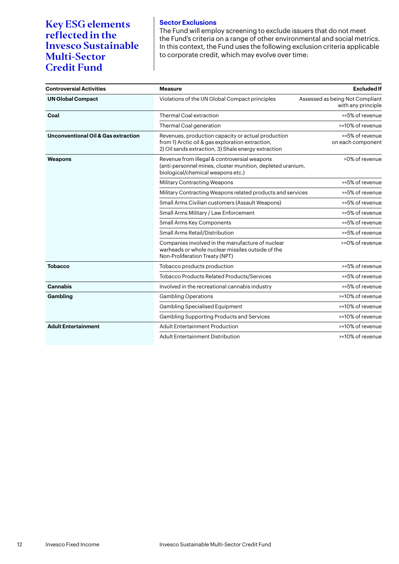Key ESG elements reflected in the Invesco Sustainable Multi-Sector Credit Fund

### **Sector Exclusions** The Fund will employ screening to exclude issuers that do not meet the Fund's criteria on a range of other environmental and social metrics. In this context, the Fund uses the following exclusion criteria applicable to corporate credit, which may evolve over time:

| <b>Controversial Activities</b>                | <b>Measure</b>                                                                                                                                                | <b>Excluded If</b>                                    |
|------------------------------------------------|---------------------------------------------------------------------------------------------------------------------------------------------------------------|-------------------------------------------------------|
| <b>UN Global Compact</b>                       | Violations of the UN Global Compact principles                                                                                                                | Assessed as being Not Compliant<br>with any principle |
| Coal                                           | <b>Thermal Coal extraction</b>                                                                                                                                | >=5% of revenue                                       |
|                                                | Thermal Coal generation                                                                                                                                       | >=10% of revenue                                      |
| <b>Unconventional Oil &amp; Gas extraction</b> | Revenues, production capacity or actual production<br>from 1) Arctic oil & gas exploration extraction,<br>2) Oil sands extraction, 3) Shale energy extraction | >=5% of revenue<br>on each component                  |
| Weapons                                        | Revenue from illegal & controversial weapons<br>(anti-personnel mines, cluster munition, depleted uranium,<br>biological/chemical weapons etc.)               | >0% of revenue                                        |
|                                                | <b>Military Contracting Weapons</b>                                                                                                                           | >=5% of revenue                                       |
|                                                | Military Contracting Weapons related products and services                                                                                                    | >=5% of revenue                                       |
|                                                | Small Arms Civilian customers (Assault Weapons)                                                                                                               | >=5% of revenue                                       |
|                                                | Small Arms Military / Law Enforcement                                                                                                                         | >=5% of revenue                                       |
|                                                | <b>Small Arms Key Components</b>                                                                                                                              | >=5% of revenue                                       |
|                                                | <b>Small Arms Retail/Distribution</b>                                                                                                                         | >=5% of revenue                                       |
|                                                | Companies involved in the manufacture of nuclear<br>warheads or whole nuclear missiles outside of the<br>Non-Proliferation Treaty (NPT)                       | >=0% of revenue                                       |
| <b>Tobacco</b>                                 | Tobacco products production                                                                                                                                   | >=5% of revenue                                       |
|                                                | <b>Tobacco Products Related Products/Services</b>                                                                                                             | >=5% of revenue                                       |
| <b>Cannabis</b>                                | Involved in the recreational cannabis industry                                                                                                                | >=5% of revenue                                       |
| Gambling                                       | <b>Gambling Operations</b>                                                                                                                                    | >=10% of revenue                                      |
|                                                | <b>Gambling Specialised Equipment</b>                                                                                                                         | >=10% of revenue                                      |
|                                                | <b>Gambling Supporting Products and Services</b>                                                                                                              | >=10% of revenue                                      |
| <b>Adult Entertainment</b>                     | <b>Adult Entertainment Production</b>                                                                                                                         | >=10% of revenue                                      |
|                                                | <b>Adult Entertainment Distribution</b>                                                                                                                       | >=10% of revenue                                      |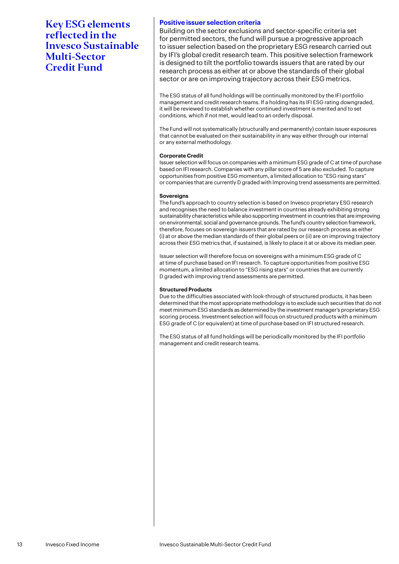Key ESG elements reflected in the Invesco Sustainable Multi-Sector Credit Fund

### **Positive issuer selection criteria**

Building on the sector exclusions and sector-specific criteria set for permitted sectors, the fund will pursue a progressive approach to issuer selection based on the proprietary ESG research carried out by IFI's global credit research team. This positive selection framework is designed to tilt the portfolio towards issuers that are rated by our research process as either at or above the standards of their global sector or are on improving trajectory across their ESG metrics.

The ESG status of all fund holdings will be continually monitored by the IFI portfolio management and credit research teams. If a holding has its IFI ESG rating downgraded, it will be reviewed to establish whether continued investment is merited and to set conditions, which if not met, would lead to an orderly disposal.

The Fund will not systematically (structurally and permanently) contain issuer exposures that cannot be evaluated on their sustainability in any way either through our internal or any external methodology.

### **Corporate Credit**

Issuer selection will focus on companies with a minimum ESG grade of C at time of purchase based on IFI research. Companies with any pillar score of 5 are also excluded. To capture opportunities from positive ESG momentum, a limited allocation to "ESG rising stars" or companies that are currently D graded with Improving trend assessments are permitted.

### **Sovereigns**

The fund's approach to country selection is based on Invesco proprietary ESG research and recognises the need to balance investment in countries already exhibiting strong sustainability characteristics while also supporting investment in countries that are improving on environmental, social and governance grounds. The fund's country selection framework, therefore, focuses on sovereign issuers that are rated by our research process as either (i) at or above the median standards of their global peers or (ii) are on improving trajectory across their ESG metrics that, if sustained, is likely to place it at or above its median peer.

Issuer selection will therefore focus on sovereigns with a minimum ESG grade of C at time of purchase based on IFI research. To capture opportunities from positive ESG momentum, a limited allocation to "ESG rising stars" or countries that are currently D graded with improving trend assessments are permitted.

### **Structured Products**

Due to the difficulties associated with look-through of structured products, it has been determined that the most appropriate methodology is to exclude such securities that do not meet minimum ESG standards as determined by the investment manager's proprietary ESG scoring process. Investment selection will focus on structured products with a minimum ESG grade of C (or equivalent) at time of purchase based on IFI structured research.

The ESG status of all fund holdings will be periodically monitored by the IFI portfolio management and credit research teams.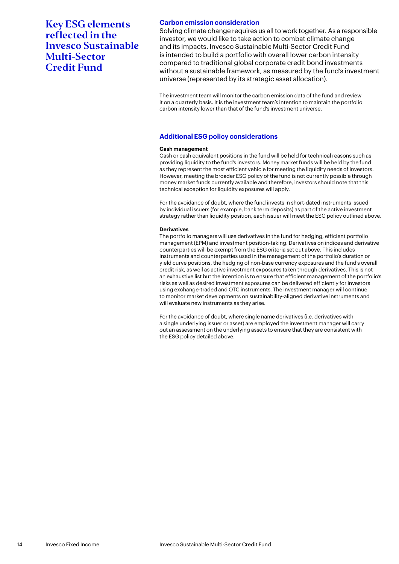Key ESG elements reflected in the Invesco Sustainable Multi-Sector Credit Fund

### **Carbon emission consideration**

Solving climate change requires us all to work together. As a responsible investor, we would like to take action to combat climate change and its impacts. Invesco Sustainable Multi-Sector Credit Fund is intended to build a portfolio with overall lower carbon intensity compared to traditional global corporate credit bond investments without a sustainable framework, as measured by the fund's investment universe (represented by its strategic asset allocation).

The investment team will monitor the carbon emission data of the fund and review it on a quarterly basis. It is the investment team's intention to maintain the portfolio carbon intensity lower than that of the fund's investment universe.

### **Additional ESG policy considerations**

### **Cash management**

Cash or cash equivalent positions in the fund will be held for technical reasons such as providing liquidity to the fund's investors. Money market funds will be held by the fund as they represent the most efficient vehicle for meeting the liquidity needs of investors. However, meeting the broader ESG policy of the fund is not currently possible through money market funds currently available and therefore, investors should note that this technical exception for liquidity exposures will apply.

For the avoidance of doubt, where the fund invests in short-dated instruments issued by individual issuers (for example, bank term deposits) as part of the active investment strategy rather than liquidity position, each issuer will meet the ESG policy outlined above.

### **Derivatives**

The portfolio managers will use derivatives in the fund for hedging, efficient portfolio management (EPM) and investment position-taking. Derivatives on indices and derivative counterparties will be exempt from the ESG criteria set out above. This includes instruments and counterparties used in the management of the portfolio's duration or yield curve positions, the hedging of non-base currency exposures and the fund's overall credit risk, as well as active investment exposures taken through derivatives. This is not an exhaustive list but the intention is to ensure that efficient management of the portfolio's risks as well as desired investment exposures can be delivered efficiently for investors using exchange-traded and OTC instruments. The investment manager will continue to monitor market developments on sustainability-aligned derivative instruments and will evaluate new instruments as they arise.

For the avoidance of doubt, where single name derivatives (i.e. derivatives with a single underlying issuer or asset) are employed the investment manager will carry out an assessment on the underlying assets to ensure that they are consistent with the ESG policy detailed above.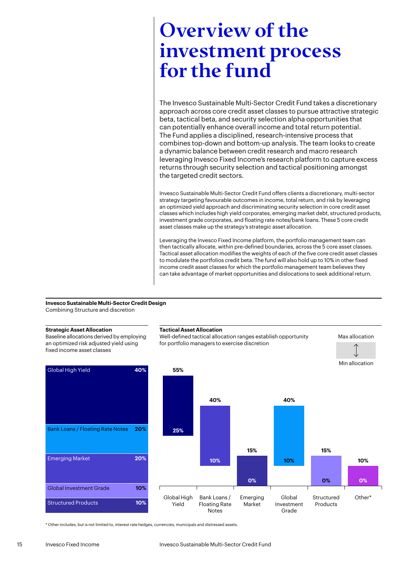### <span id="page-14-0"></span>Overview of the investment process for the fund

The Invesco Sustainable Multi-Sector Credit Fund takes a discretionary approach across core credit asset classes to pursue attractive strategic beta, tactical beta, and security selection alpha opportunities that can potentially enhance overall income and total return potential. The Fund applies a disciplined, research-intensive process that combines top-down and bottom-up analysis. The team looks to create a dynamic balance between credit research and macro research leveraging Invesco Fixed Income's research platform to capture excess returns through security selection and tactical positioning amongst the targeted credit sectors.

Invesco Sustainable Multi-Sector Credit Fund offers clients a discretionary, multi-sector strategy targeting favourable outcomes in income, total return, and risk by leveraging an optimized yield approach and discriminating security selection in core credit asset classes which includes high yield corporates, emerging market debt, structured products, investment grade corporates, and floating rate notes/bank loans. These 5 core credit asset classes make up the strategy's strategic asset allocation.

Leveraging the Invesco Fixed Income platform, the portfolio management team can then tactically allocate, within pre-defined boundaries, across the 5 core asset classes. Tactical asset allocation modifies the weights of each of the five core credit asset classes to modulate the portfolios credit beta. The fund will also hold up to 10% in other fixed income credit asset classes for which the portfolio management team believes they can take advantage of market opportunities and dislocations to seek additional return.

Grade

#### **Invesco Sustainable Multi-Sector Credit Design** Combining Structure and discretion

**Strategic Asset Allocation** Baseline allocations derived by employing an optimized risk adjusted yield using fixed income asset classes Global High Yield **40%** Bank Loans / Floating Rate Notes **20%** Emerging Market **20%** Global Investment Grade **10%** Structured Products **10% Tactical Asset Allocation** Well-defined tactical allocation ranges establish opportunity for portfolio managers to exercise discretion Max allocation Min allocation Global High Yield Bank Loans / Floating Rate Emerging Market Global Investment **Structured** Products  $O<sub>ther</sub>$ \* **55% 25% 10% 0% 0% 40% 15% 40% 15% 10% 10% 0%**

\* Other includes, but is not limited to, interest rate hedges, currencies, municipals and distressed assets.

Notes